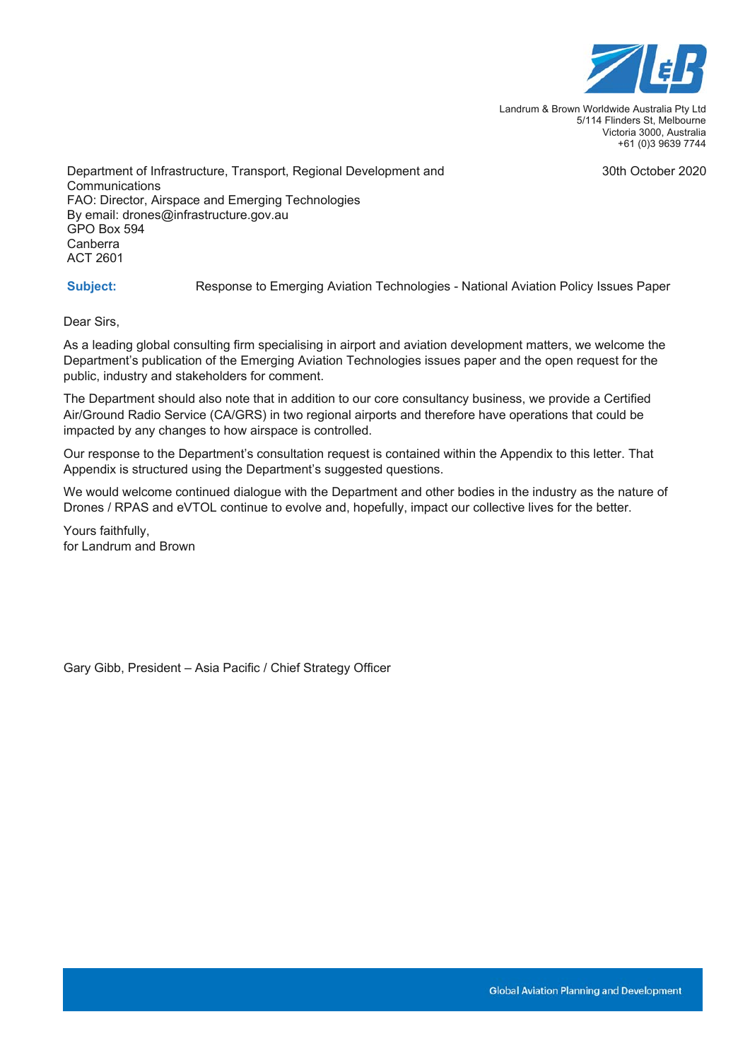

Landrum & Brown Worldwide Australia Pty Ltd 5/114 Flinders St, Melbourne Victoria 3000, Australia +61 (0)3 9639 7744

30th October 2020

Department of Infrastructure, Transport, Regional Development and **Communications** FAO: Director, Airspace and Emerging Technologies By email: drones@infrastructure.gov.au GPO Box 594 Canberra ACT 2601

**Subject:** Response to Emerging Aviation Technologies - National Aviation Policy Issues Paper

Dear Sirs,

As a leading global consulting firm specialising in airport and aviation development matters, we welcome the Department's publication of the Emerging Aviation Technologies issues paper and the open request for the public, industry and stakeholders for comment.

The Department should also note that in addition to our core consultancy business, we provide a Certified Air/Ground Radio Service (CA/GRS) in two regional airports and therefore have operations that could be impacted by any changes to how airspace is controlled.

Our response to the Department's consultation request is contained within the Appendix to this letter. That Appendix is structured using the Department's suggested questions.

We would welcome continued dialogue with the Department and other bodies in the industry as the nature of Drones / RPAS and eVTOL continue to evolve and, hopefully, impact our collective lives for the better.

Yours faithfully, for Landrum and Brown

Gary Gibb, President – Asia Pacific / Chief Strategy Officer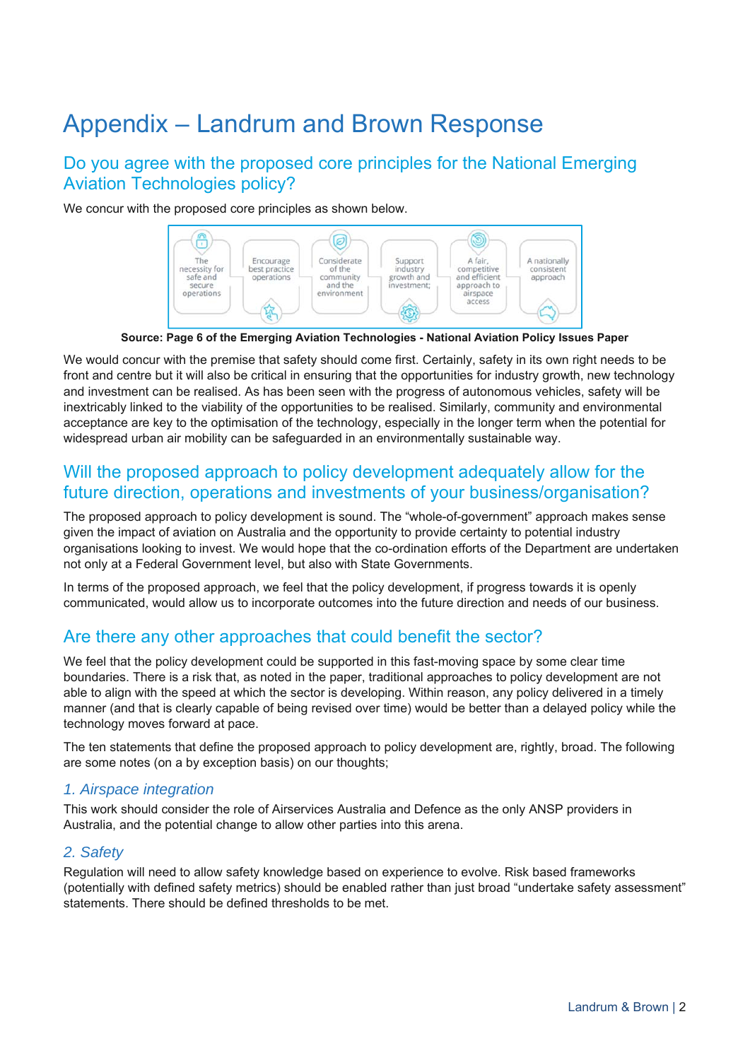# Appendix – Landrum and Brown Response

# Do you agree with the proposed core principles for the National Emerging Aviation Technologies policy?

We concur with the proposed core principles as shown below.



**Source: Page 6 of the Emerging Aviation Technologies - National Aviation Policy Issues Paper** 

We would concur with the premise that safety should come first. Certainly, safety in its own right needs to be front and centre but it will also be critical in ensuring that the opportunities for industry growth, new technology and investment can be realised. As has been seen with the progress of autonomous vehicles, safety will be inextricably linked to the viability of the opportunities to be realised. Similarly, community and environmental acceptance are key to the optimisation of the technology, especially in the longer term when the potential for widespread urban air mobility can be safeguarded in an environmentally sustainable way.

### Will the proposed approach to policy development adequately allow for the future direction, operations and investments of your business/organisation?

The proposed approach to policy development is sound. The "whole-of-government" approach makes sense given the impact of aviation on Australia and the opportunity to provide certainty to potential industry organisations looking to invest. We would hope that the co-ordination efforts of the Department are undertaken not only at a Federal Government level, but also with State Governments.

In terms of the proposed approach, we feel that the policy development, if progress towards it is openly communicated, would allow us to incorporate outcomes into the future direction and needs of our business.

## Are there any other approaches that could benefit the sector?

We feel that the policy development could be supported in this fast-moving space by some clear time boundaries. There is a risk that, as noted in the paper, traditional approaches to policy development are not able to align with the speed at which the sector is developing. Within reason, any policy delivered in a timely manner (and that is clearly capable of being revised over time) would be better than a delayed policy while the technology moves forward at pace.

The ten statements that define the proposed approach to policy development are, rightly, broad. The following are some notes (on a by exception basis) on our thoughts;

#### *1. Airspace integration*

This work should consider the role of Airservices Australia and Defence as the only ANSP providers in Australia, and the potential change to allow other parties into this arena.

#### *2. Safety*

Regulation will need to allow safety knowledge based on experience to evolve. Risk based frameworks (potentially with defined safety metrics) should be enabled rather than just broad "undertake safety assessment" statements. There should be defined thresholds to be met.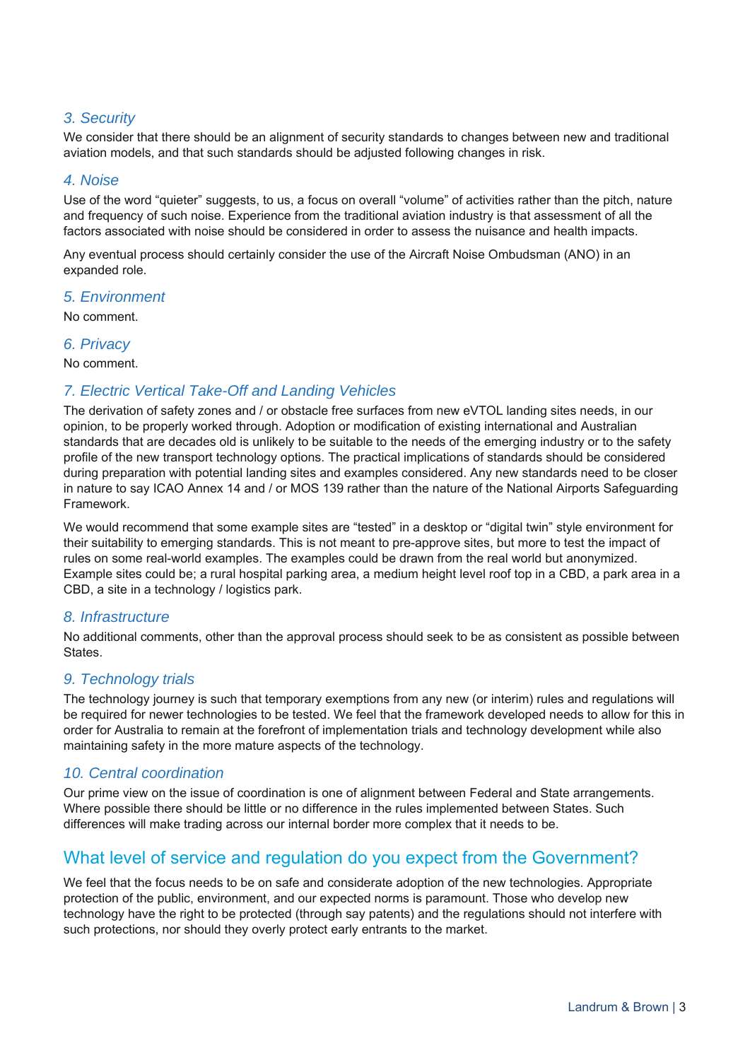#### *3. Security*

We consider that there should be an alignment of security standards to changes between new and traditional aviation models, and that such standards should be adjusted following changes in risk.

#### *4. Noise*

Use of the word "quieter" suggests, to us, a focus on overall "volume" of activities rather than the pitch, nature and frequency of such noise. Experience from the traditional aviation industry is that assessment of all the factors associated with noise should be considered in order to assess the nuisance and health impacts.

Any eventual process should certainly consider the use of the Aircraft Noise Ombudsman (ANO) in an expanded role.

#### *5. Environment*

No comment.

#### *6. Privacy*

No comment.

#### *7. Electric Vertical Take-Off and Landing Vehicles*

The derivation of safety zones and / or obstacle free surfaces from new eVTOL landing sites needs, in our opinion, to be properly worked through. Adoption or modification of existing international and Australian standards that are decades old is unlikely to be suitable to the needs of the emerging industry or to the safety profile of the new transport technology options. The practical implications of standards should be considered during preparation with potential landing sites and examples considered. Any new standards need to be closer in nature to say ICAO Annex 14 and / or MOS 139 rather than the nature of the National Airports Safeguarding Framework.

We would recommend that some example sites are "tested" in a desktop or "digital twin" style environment for their suitability to emerging standards. This is not meant to pre-approve sites, but more to test the impact of rules on some real-world examples. The examples could be drawn from the real world but anonymized. Example sites could be; a rural hospital parking area, a medium height level roof top in a CBD, a park area in a CBD, a site in a technology / logistics park.

#### *8. Infrastructure*

No additional comments, other than the approval process should seek to be as consistent as possible between States.

#### *9. Technology trials*

The technology journey is such that temporary exemptions from any new (or interim) rules and regulations will be required for newer technologies to be tested. We feel that the framework developed needs to allow for this in order for Australia to remain at the forefront of implementation trials and technology development while also maintaining safety in the more mature aspects of the technology.

#### *10. Central coordination*

Our prime view on the issue of coordination is one of alignment between Federal and State arrangements. Where possible there should be little or no difference in the rules implemented between States. Such differences will make trading across our internal border more complex that it needs to be.

## What level of service and regulation do you expect from the Government?

We feel that the focus needs to be on safe and considerate adoption of the new technologies. Appropriate protection of the public, environment, and our expected norms is paramount. Those who develop new technology have the right to be protected (through say patents) and the regulations should not interfere with such protections, nor should they overly protect early entrants to the market.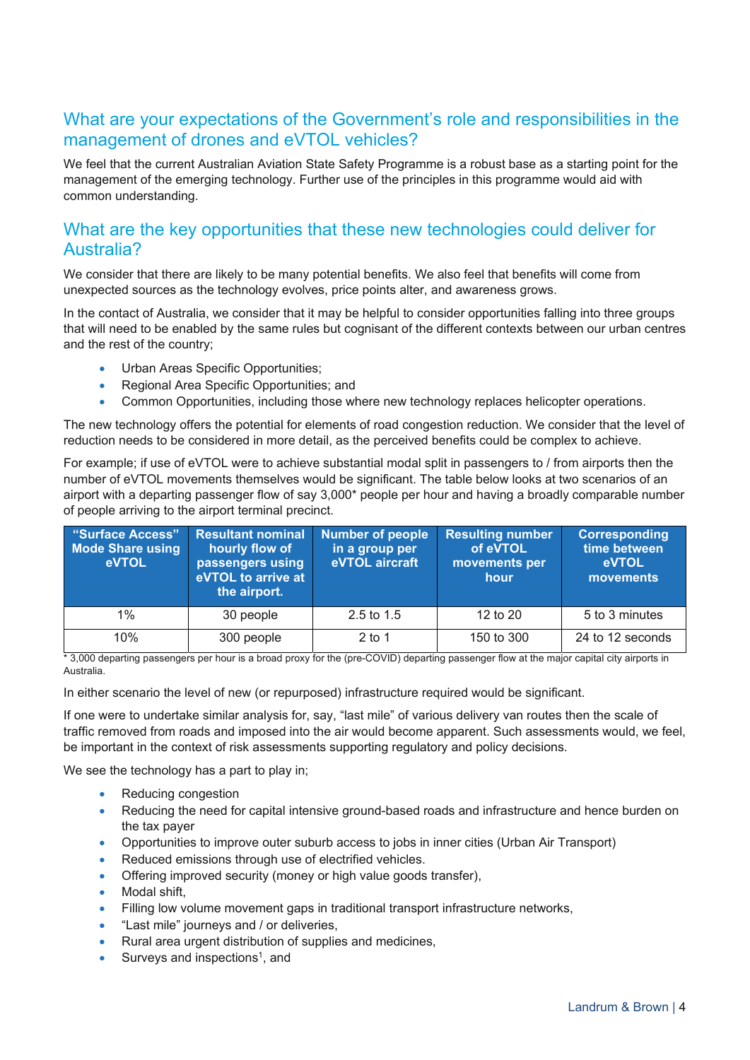## What are your expectations of the Government's role and responsibilities in the management of drones and eVTOL vehicles?

We feel that the current Australian Aviation State Safety Programme is a robust base as a starting point for the management of the emerging technology. Further use of the principles in this programme would aid with common understanding.

# What are the key opportunities that these new technologies could deliver for Australia?

We consider that there are likely to be many potential benefits. We also feel that benefits will come from unexpected sources as the technology evolves, price points alter, and awareness grows.

In the contact of Australia, we consider that it may be helpful to consider opportunities falling into three groups that will need to be enabled by the same rules but cognisant of the different contexts between our urban centres and the rest of the country;

- Urban Areas Specific Opportunities;
- Regional Area Specific Opportunities; and
- Common Opportunities, including those where new technology replaces helicopter operations.

The new technology offers the potential for elements of road congestion reduction. We consider that the level of reduction needs to be considered in more detail, as the perceived benefits could be complex to achieve.

For example; if use of eVTOL were to achieve substantial modal split in passengers to / from airports then the number of eVTOL movements themselves would be significant. The table below looks at two scenarios of an airport with a departing passenger flow of say 3,000\* people per hour and having a broadly comparable number of people arriving to the airport terminal precinct.

| "Surface Access"<br><b>Mode Share using</b><br><b>eVTOL</b> | <b>Resultant nominal</b><br>hourly flow of<br>passengers using<br>eVTOL to arrive at<br>the airport. | <b>Number of people</b><br>in a group per<br>eVTOL aircraft | <b>Resulting number</b><br>of eVTOL<br>movements per<br>hour | <b>Corresponding</b><br>time between<br><b>eVTOL</b><br>movements |
|-------------------------------------------------------------|------------------------------------------------------------------------------------------------------|-------------------------------------------------------------|--------------------------------------------------------------|-------------------------------------------------------------------|
| $1\%$                                                       | 30 people                                                                                            | $2.5$ to $1.5$                                              | 12 to 20                                                     | 5 to 3 minutes                                                    |
| 10%                                                         | 300 people                                                                                           | $2$ to 1                                                    | 150 to 300                                                   | 24 to 12 seconds                                                  |

\* 3,000 departing passengers per hour is a broad proxy for the (pre-COVID) departing passenger flow at the major capital city airports in Australia.

In either scenario the level of new (or repurposed) infrastructure required would be significant.

If one were to undertake similar analysis for, say, "last mile" of various delivery van routes then the scale of traffic removed from roads and imposed into the air would become apparent. Such assessments would, we feel, be important in the context of risk assessments supporting regulatory and policy decisions.

We see the technology has a part to play in;

- Reducing congestion
- Reducing the need for capital intensive ground-based roads and infrastructure and hence burden on the tax payer
- Opportunities to improve outer suburb access to jobs in inner cities (Urban Air Transport)
- Reduced emissions through use of electrified vehicles.
- Offering improved security (money or high value goods transfer),
- Modal shift,
- Filling low volume movement gaps in traditional transport infrastructure networks,
- "Last mile" journeys and / or deliveries,
- Rural area urgent distribution of supplies and medicines,
- Surveys and inspections<sup>1</sup>, and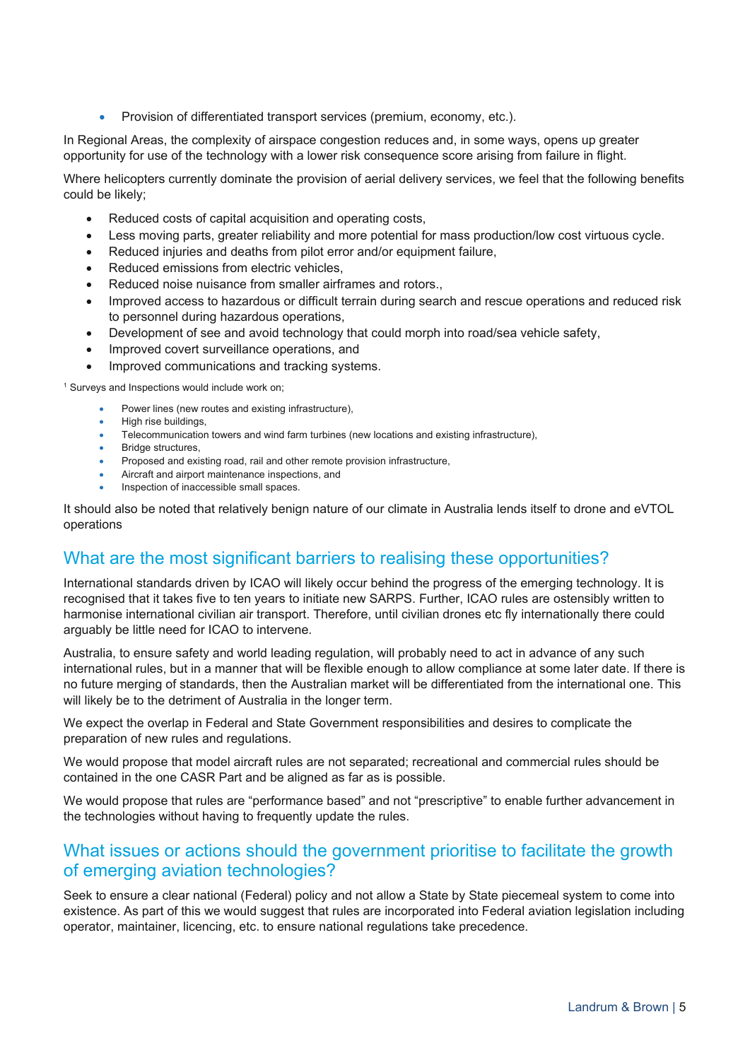• Provision of differentiated transport services (premium, economy, etc.).

In Regional Areas, the complexity of airspace congestion reduces and, in some ways, opens up greater opportunity for use of the technology with a lower risk consequence score arising from failure in flight.

Where helicopters currently dominate the provision of aerial delivery services, we feel that the following benefits could be likely;

- Reduced costs of capital acquisition and operating costs,
- Less moving parts, greater reliability and more potential for mass production/low cost virtuous cycle.
- Reduced injuries and deaths from pilot error and/or equipment failure,
- Reduced emissions from electric vehicles,
- Reduced noise nuisance from smaller airframes and rotors.,
- Improved access to hazardous or difficult terrain during search and rescue operations and reduced risk to personnel during hazardous operations,
- Development of see and avoid technology that could morph into road/sea vehicle safety,
- Improved covert surveillance operations, and
- Improved communications and tracking systems.

<sup>1</sup> Surveys and Inspections would include work on;

- Power lines (new routes and existing infrastructure),
- High rise buildings,
- Telecommunication towers and wind farm turbines (new locations and existing infrastructure),
- Bridge structures,
- Proposed and existing road, rail and other remote provision infrastructure,
- Aircraft and airport maintenance inspections, and
- Inspection of inaccessible small spaces.

It should also be noted that relatively benign nature of our climate in Australia lends itself to drone and eVTOL operations

## What are the most significant barriers to realising these opportunities?

International standards driven by ICAO will likely occur behind the progress of the emerging technology. It is recognised that it takes five to ten years to initiate new SARPS. Further, ICAO rules are ostensibly written to harmonise international civilian air transport. Therefore, until civilian drones etc fly internationally there could arguably be little need for ICAO to intervene.

Australia, to ensure safety and world leading regulation, will probably need to act in advance of any such international rules, but in a manner that will be flexible enough to allow compliance at some later date. If there is no future merging of standards, then the Australian market will be differentiated from the international one. This will likely be to the detriment of Australia in the longer term.

We expect the overlap in Federal and State Government responsibilities and desires to complicate the preparation of new rules and regulations.

We would propose that model aircraft rules are not separated; recreational and commercial rules should be contained in the one CASR Part and be aligned as far as is possible.

We would propose that rules are "performance based" and not "prescriptive" to enable further advancement in the technologies without having to frequently update the rules.

## What issues or actions should the government prioritise to facilitate the growth of emerging aviation technologies?

Seek to ensure a clear national (Federal) policy and not allow a State by State piecemeal system to come into existence. As part of this we would suggest that rules are incorporated into Federal aviation legislation including operator, maintainer, licencing, etc. to ensure national regulations take precedence.